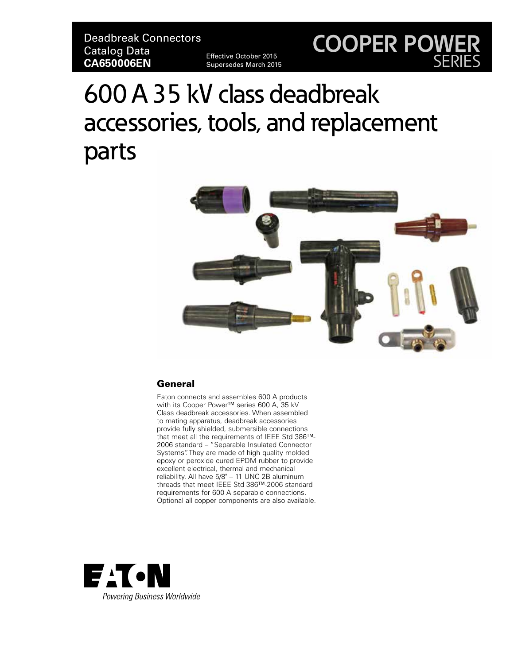Effective October 2015 Supersedes March 2015

## **COOPER POWER** SERIES

# 600 A 35 kV class deadbreak accessories, tools, and replacement parts



#### General

Eaton connects and assembles 600 A products with its Cooper Power™ series 600 A, 35 kV Class deadbreak accessories. When assembled to mating apparatus, deadbreak accessories provide fully shielded, submersible connections that meet all the requirements of IEEE Std 386™- 2006 standard – "Separable Insulated Connector Systems". They are made of high quality molded epoxy or peroxide cured EPDM rubber to provide excellent electrical, thermal and mechanical reliability. All have 5/8" – 11 UNC 2B aluminum threads that meet IEEE Std 386™-2006 standard requirements for 600 A separable connections. Optional all copper components are also available.

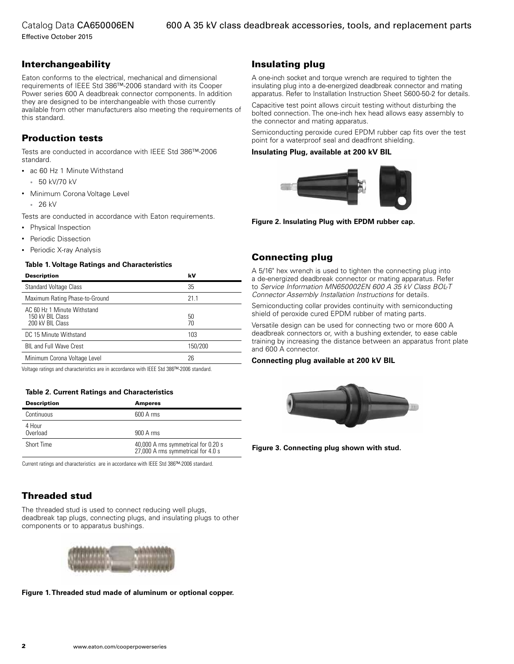Effective October 2015

#### Interchangeability

Eaton conforms to the electrical, mechanical and dimensional requirements of IEEE Std 386™-2006 standard with its Cooper Power series 600 A deadbreak connector components. In addition they are designed to be interchangeable with those currently available from other manufacturers also meeting the requirements of this standard.

#### Production tests

Tests are conducted in accordance with IEEE Std 386™-2006 standard.

- ac 60 Hz 1 Minute Withstand
	- 50 kV/70 kV
- Minimum Corona Voltage Level • 26 kV
- Tests are conducted in accordance with Eaton requirements.
- Physical Inspection
- Periodic Dissection
- Periodic X-ray Analysis

#### **Table 1. Voltage Ratings and Characteristics**

| <b>Description</b>                                                  | kV       |
|---------------------------------------------------------------------|----------|
| <b>Standard Voltage Class</b>                                       | 35       |
| Maximum Rating Phase-to-Ground                                      | 21 1     |
| AC 60 Hz 1 Minute Withstand<br>150 kV BIL Class<br>200 kV BIL Class | 50<br>70 |
| DC 15 Minute Withstand                                              | 103      |
| <b>BIL and Full Wave Crest</b>                                      | 150/200  |
| Minimum Corona Voltage Level                                        | 26       |

Voltage ratings and characteristics are in accordance with IEEE Std 386™-2006 standard.

#### **Table 2. Current Ratings and Characteristics**

| <b>Description</b> | <b>Amperes</b>                                                            |
|--------------------|---------------------------------------------------------------------------|
| Continuous         | $600$ A rms                                                               |
| 4 Hour<br>Overload | $900A$ rms                                                                |
| Short Time         | 40,000 A rms symmetrical for 0.20 s<br>27,000 A rms symmetrical for 4.0 s |

Current ratings and characteristics are in accordance with IEEE Std 386™-2006 standard.

### Threaded stud

The threaded stud is used to connect reducing well plugs, deadbreak tap plugs, connecting plugs, and insulating plugs to other components or to apparatus bushings.



**Figure 1. Threaded stud made of aluminum or optional copper.**

#### Insulating plug

A one-inch socket and torque wrench are required to tighten the insulating plug into a de-energized deadbreak connector and mating apparatus. Refer to Installation Instruction Sheet S600-50-2 for details.

Capacitive test point allows circuit testing without disturbing the bolted connection. The one-inch hex head allows easy assembly to the connector and mating apparatus.

Semiconducting peroxide cured EPDM rubber cap fits over the test point for a waterproof seal and deadfront shielding.

#### **Insulating Plug, available at 200 kV BIL**



**Figure 2. Insulating Plug with EPDM rubber cap.**

#### Connecting plug

A 5/16" hex wrench is used to tighten the connecting plug into a de-energized deadbreak connector or mating apparatus. Refer to *Service Information MN650002EN 600 A 35 kV Class BOL-T Connector Assembly Installation Instructions* for details.

Semiconducting collar provides continuity with semiconducting shield of peroxide cured EPDM rubber of mating parts.

Versatile design can be used for connecting two or more 600 A deadbreak connectors or, with a bushing extender, to ease cable training by increasing the distance between an apparatus front plate and 600 A connector.

#### **Connecting plug available at 200 kV BIL**



**Figure 3. Connecting plug shown with stud.**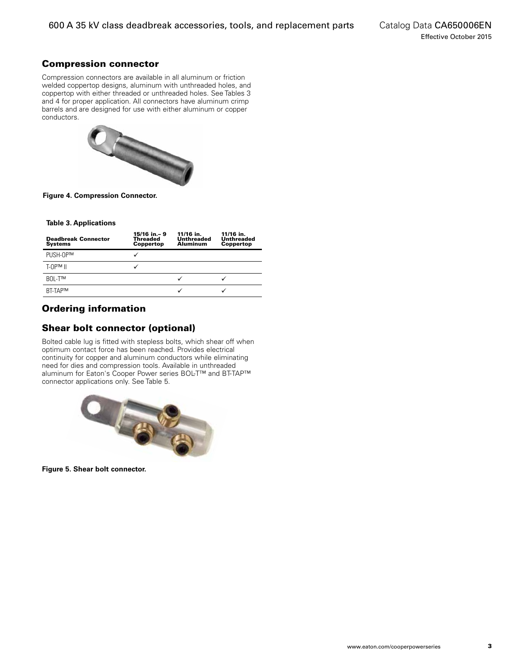#### Compression connector

Compression connectors are available in all aluminum or friction welded coppertop designs, aluminum with unthreaded holes, and coppertop with either threaded or unthreaded holes. See Tables 3 and 4 for proper application. All connectors have aluminum crimp barrels and are designed for use with either aluminum or copper conductors.



**Figure 4. Compression Connector.**

#### **Table 3. Applications**

| <b>Deadbreak Connector</b><br><b>Systems</b> | 15/16 in.-9<br><b>Threaded</b><br><b>Coppertop</b> | 11/16 in.<br>Unthreaded<br>Aluminum | 11/16 in.<br><b>Unthreaded</b><br>Coppertop |
|----------------------------------------------|----------------------------------------------------|-------------------------------------|---------------------------------------------|
| PUSH-OP™                                     |                                                    |                                     |                                             |
| $T$ - $\Omega$ PTM                           |                                                    |                                     |                                             |
| BOL-T™                                       |                                                    | ✓                                   |                                             |
| <b>BT-TAP™</b>                               |                                                    |                                     |                                             |

#### Ordering information

#### Shear bolt connector (optional)

Bolted cable lug is fitted with stepless bolts, which shear off when optimum contact force has been reached. Provides electrical continuity for copper and aluminum conductors while eliminating need for dies and compression tools. Available in unthreaded aluminum for Eaton's Cooper Power series BOL-T™ and BT-TAP™ connector applications only. See Table 5.



**Figure 5. Shear bolt connector.**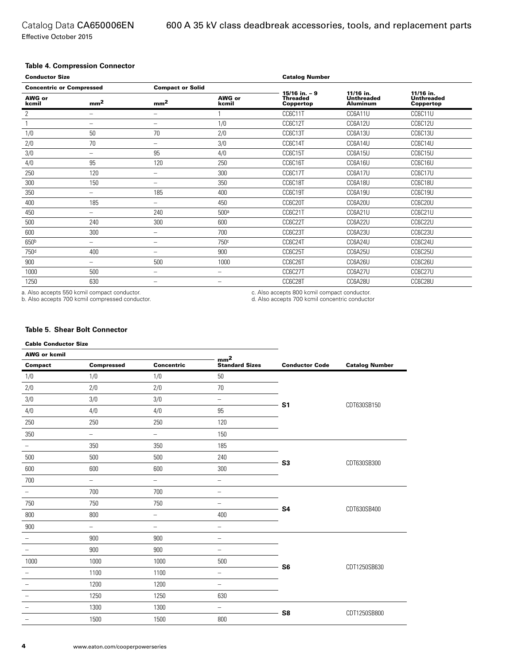Effective October 2015

#### **Table 4. Compression Connector**

| <b>Conductor Size</b>           |                          |                          | <b>Catalog Number</b> |                                                  |                                                   |                                             |
|---------------------------------|--------------------------|--------------------------|-----------------------|--------------------------------------------------|---------------------------------------------------|---------------------------------------------|
| <b>Concentric or Compressed</b> |                          | <b>Compact or Solid</b>  |                       |                                                  |                                                   |                                             |
| <b>AWG or</b><br>kcmil          | mm <sup>2</sup>          | mm <sup>2</sup>          | AWG or<br>kcmil       | $15/16$ in. $-9$<br><b>Threaded</b><br>Coppertop | 11/16 in.<br><b>Unthreaded</b><br><b>Aluminum</b> | 11/16 in.<br><b>Unthreaded</b><br>Coppertop |
| 2                               | $\overline{\phantom{m}}$ | $\overline{\phantom{0}}$ |                       | CC6C11T                                          | CC6A11U                                           | CC6C11U                                     |
|                                 | -                        | -                        | 1/0                   | CC6C12T                                          | CC6A12U                                           | CC6C12U                                     |
| 1/0                             | 50                       | 70                       | 2/0                   | CC6C13T                                          | CC6A13U                                           | CC6C13U                                     |
| 2/0                             | 70                       | $\overline{\phantom{0}}$ | 3/0                   | CC6C14T                                          | CC6A14U                                           | CC6C14U                                     |
| 3/0                             | $\overline{\phantom{m}}$ | 95                       | 4/0                   | CC6C15T                                          | CC6A15U                                           | CC6C15U                                     |
| 4/0                             | 95                       | 120                      | 250                   | CC6C16T                                          | CC6A16U                                           | CC6C16U                                     |
| 250                             | 120                      | -                        | 300                   | CC6C17T                                          | CC6A17U                                           | CC6C17U                                     |
| 300                             | 150                      | -                        | 350                   | CC6C18T                                          | CC6A18U                                           | CC6C18U                                     |
| 350                             | $\qquad \qquad$          | 185                      | 400                   | CC6C19T                                          | CC6A19U                                           | CC6C19U                                     |
| 400                             | 185                      | -                        | 450                   | CC6C20T                                          | CC6A20U                                           | CC6C20U                                     |
| 450                             | $\qquad \qquad$          | 240                      | 500 <sup>a</sup>      | CC6C21T                                          | CC6A21U                                           | CC6C21U                                     |
| 500                             | 240                      | 300                      | 600                   | CC6C22T                                          | CC6A22U                                           | CC6C22U                                     |
| 600                             | 300                      | -                        | 700                   | CC6C23T                                          | CC6A23U                                           | CC6C23U                                     |
| 650b                            | -                        | -                        | 750c                  | CC6C24T                                          | CC6A24U                                           | CC6C24U                                     |
| 750 <sup>d</sup>                | 400                      | -                        | 900                   | CC6C25T                                          | CC6A25U                                           | CC6C25U                                     |
| 900                             | -                        | 500                      | 1000                  | CC6C26T                                          | CC6A26U                                           | CC6C26U                                     |
| 1000                            | 500                      | -                        | $\qquad \qquad$       | CC6C27T                                          | CC6A27U                                           | CC6C27U                                     |
| 1250                            | 630                      | $\overline{\phantom{0}}$ | $\qquad \qquad$       | CC6C28T                                          | CC6A28U                                           | CC6C28U                                     |

a. Also accepts 550 kcmil compact conductor.

b. Also accepts 700 kcmil compressed conductor.

c. Also accepts 800 kcmil compact conductor. d. Also accepts 700 kcmil concentric conductor

#### **Table 5. Shear Bolt Connector**

#### Cable Conductor Size

| <b>AWG or kcmil</b>      |                          | mm <sup>2</sup>          |                          |                       |                       |
|--------------------------|--------------------------|--------------------------|--------------------------|-----------------------|-----------------------|
| Compact                  | <b>Compressed</b>        | Concentric               | <b>Standard Sizes</b>    | <b>Conductor Code</b> | <b>Catalog Number</b> |
| $1/0$                    | 1/0                      | 1/0                      | 50                       |                       |                       |
| 2/0                      | 2/0                      | 2/0                      | $70$                     |                       |                       |
| 3/0                      | 3/0                      | 3/0                      | $\overline{\phantom{0}}$ | S <sub>1</sub>        | CDT630SB150           |
| 4/0                      | 4/0                      | 4/0                      | 95                       |                       |                       |
| 250                      | 250                      | 250                      | 120                      |                       |                       |
| 350                      | $\overline{\phantom{0}}$ | $\overline{\phantom{0}}$ | 150                      |                       |                       |
| $\overline{\phantom{a}}$ | 350                      | 350                      | 185                      |                       |                       |
| 500                      | 500                      | 500                      | 240                      | S <sub>3</sub>        |                       |
| 600                      | 600                      | 600                      | 300                      |                       | CDT630SB300           |
| 700                      | -                        | $\overline{\phantom{0}}$ | $\qquad \qquad -$        |                       |                       |
| $\qquad \qquad -$        | 700                      | 700                      | $\overline{\phantom{0}}$ |                       |                       |
| 750                      | 750                      | 750                      | $\overline{\phantom{0}}$ | <b>S4</b>             | CDT630SB400           |
| 800                      | 800                      | $\overline{\phantom{0}}$ | 400                      |                       |                       |
| 900                      | $\equiv$                 | $\overline{\phantom{0}}$ | $\qquad \qquad -$        |                       |                       |
| $\overline{\phantom{m}}$ | 900                      | 900                      | $\overline{\phantom{m}}$ |                       |                       |
| $\overline{\phantom{0}}$ | 900                      | 900                      | $\overline{\phantom{m}}$ |                       |                       |
| 1000                     | 1000                     | 1000                     | 500                      | S <sub>6</sub>        | CDT1250SB630          |
| -                        | 1100                     | 1100                     | $\overline{\phantom{m}}$ |                       |                       |
| -                        | 1200                     | 1200                     | $\qquad \qquad -$        |                       |                       |
| -                        | 1250                     | 1250                     | 630                      |                       |                       |
| $\overline{\phantom{a}}$ | 1300                     | 1300                     | $\overline{\phantom{a}}$ | S8                    | CDT1250SB800          |
| -                        | 1500                     | 1500                     | 800                      |                       |                       |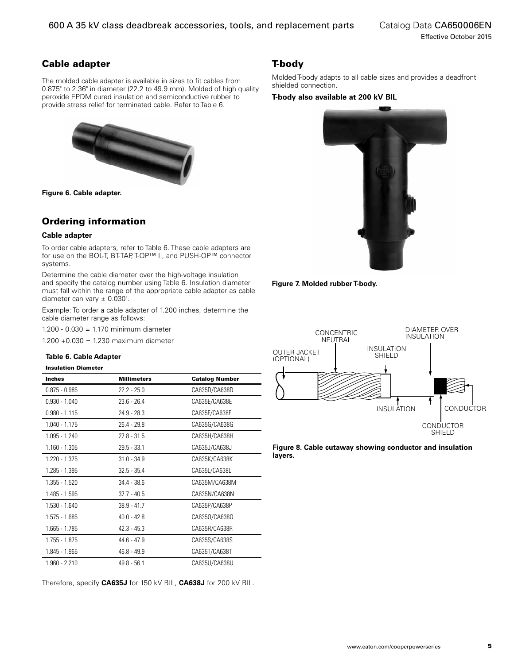#### Cable adapter

The molded cable adapter is available in sizes to fit cables from 0.875" to 2.36" in diameter (22.2 to 49.9 mm). Molded of high quality peroxide EPDM cured insulation and semiconductive rubber to provide stress relief for terminated cable. Refer to Table 6.



**Figure 6. Cable adapter.**

#### Ordering information

#### **Cable adapter**

To order cable adapters, refer to Table 6. These cable adapters are for use on the BOL-T, BT-TAP, T-OP™ II, and PUSH-OP™ connector systems.

Determine the cable diameter over the high-voltage insulation and specify the catalog number using Table 6. Insulation diameter must fall within the range of the appropriate cable adapter as cable diameter can vary  $\pm$  0.030".

Example: To order a cable adapter of 1.200 inches, determine the cable diameter range as follows:

1.200 - 0.030 = 1.170 minimum diameter

1.200 +0.030 = 1.230 maximum diameter

#### **Table 6. Cable Adapter**

#### Insulation Diameter

| <b>Inches</b>   | <b>Millimeters</b> | <b>Catalog Number</b> |
|-----------------|--------------------|-----------------------|
| $0.875 - 0.985$ | $22.2 - 25.0$      | CA635D/CA638D         |
| $0.930 - 1.040$ | $23.6 - 26.4$      | CA635E/CA638E         |
| $0.980 - 1.115$ | $24.9 - 28.3$      | CA635F/CA638F         |
| 1.040 - 1.175   | $26.4 - 29.8$      | CA635G/CA638G         |
| 1.095 - 1.240   | $27.8 - 31.5$      | CA635H/CA638H         |
| 1.160 - 1.305   | $29.5 - 33.1$      | CA635J/CA638J         |
| 1.220 - 1.375   | $31.0 - 34.9$      | CA635K/CA638K         |
| 1.285 - 1.395   | $32.5 - 35.4$      | CA635L/CA638L         |
| 1.355 - 1.520   | $34.4 - 38.6$      | CA635M/CA638M         |
| 1.485 - 1.595   | $37.7 - 40.5$      | CA635N/CA638N         |
| 1.530 - 1.640   | $38.9 - 41.7$      | CA635P/CA638P         |
| 1.575 - 1.685   | $40.0 - 42.8$      | CA635Q/CA638Q         |
| 1.665 - 1.785   | $42.3 - 45.3$      | CA635R/CA638R         |
| 1.755 - 1.875   | $44.6 - 47.9$      | CA635S/CA638S         |
| 1.845 - 1.965   | $46.8 - 49.9$      | CA635T/CA638T         |
| $1.960 - 2.210$ | $49.8 - 56.1$      | CA635U/CA638U         |

Therefore, specify **CA635J** for 150 kV BIL, **CA638J** for 200 kV BIL.

#### T-body

Molded T-body adapts to all cable sizes and provides a deadfront shielded connection.

#### **T-body also available at 200 kV BIL**







**Figure 8. Cable cutaway showing conductor and insulation layers.**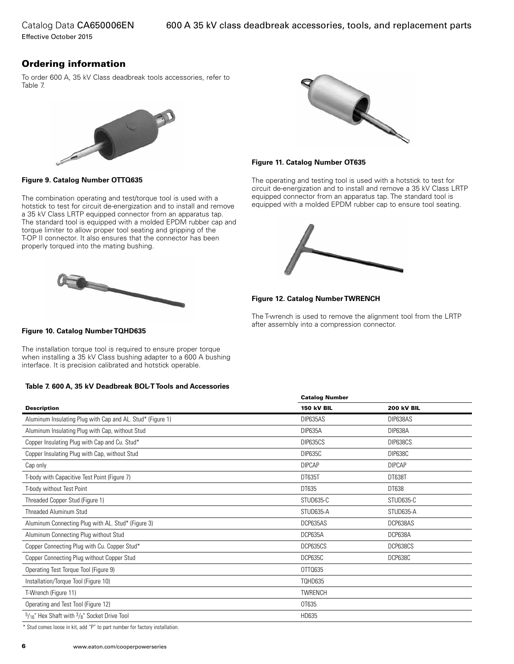Catalog Data CA650006EN Effective October 2015

Ordering information

To order 600 A, 35 kV Class deadbreak tools accessories, refer to Table 7.





The combination operating and test/torque tool is used with a hotstick to test for circuit de-energization and to install and remove a 35 kV Class LRTP equipped connector from an apparatus tap. The standard tool is equipped with a molded EPDM rubber cap and torque limiter to allow proper tool seating and gripping of the T-OP II connector. It also ensures that the connector has been properly torqued into the mating bushing.





#### **Figure 11. Catalog Number OT635**

The operating and testing tool is used with a hotstick to test for circuit de-energization and to install and remove a 35 kV Class LRTP equipped connector from an apparatus tap. The standard tool is equipped with a molded EPDM rubber cap to ensure tool seating.



**Figure 12. Catalog Number TWRENCH**

Catalog Number

The T-wrench is used to remove the alignment tool from the LRTP after assembly into a compression connector. **Figure 10. Catalog Number TQHD635**

The installation torque tool is required to ensure proper torque when installing a 35 kV Class bushing adapter to a 600 A bushing interface. It is precision calibrated and hotstick operable.

#### **Table 7. 600 A, 35 kV Deadbreak BOL-T Tools and Accessories**

|                                                            | Catalog Number    |                   |  |
|------------------------------------------------------------|-------------------|-------------------|--|
| <b>Description</b>                                         | <b>150 kV BIL</b> | <b>200 kV BIL</b> |  |
| Aluminum Insulating Plug with Cap and AL. Stud* (Figure 1) | DIP635AS          | DIP638AS          |  |
| Aluminum Insulating Plug with Cap, without Stud            | DIP635A           | DIP638A           |  |
| Copper Insulating Plug with Cap and Cu. Stud*              | DIP635CS          | DIP638CS          |  |
| Copper Insulating Plug with Cap, without Stud              | <b>DIP635C</b>    | DIP638C           |  |
| Cap only                                                   | <b>DIPCAP</b>     | <b>DIPCAP</b>     |  |
| T-body with Capacitive Test Point (Figure 7)               | <b>DT635T</b>     | DT638T            |  |
| T-body without Test Point                                  | DT635             | DT638             |  |
| Threaded Copper Stud (Figure 1)                            | STUD635-C         | STUD635-C         |  |
| <b>Threaded Aluminum Stud</b>                              | STUD635-A         | STUD635-A         |  |
| Aluminum Connecting Plug with AL. Stud* (Figure 3)         | DCP635AS          | DCP638AS          |  |
| Aluminum Connecting Plug without Stud                      | DCP635A           | DCP638A           |  |
| Copper Connecting Plug with Cu. Copper Stud*               | DCP635CS          | DCP638CS          |  |
| Copper Connecting Plug without Copper Stud                 | DCP635C           | DCP638C           |  |
| Operating Test Torque Tool (Figure 9)                      | OTT0635           |                   |  |
| Installation/Torque Tool (Figure 10)                       | <b>TOHD635</b>    |                   |  |
| T-Wrench (Figure 11)                                       | TWRENCH           |                   |  |
| Operating and Test Tool (Figure 12)                        | OT635             |                   |  |
| $5/16$ " Hex Shaft with $3/8$ " Socket Drive Tool          | HD635             |                   |  |

\* Stud comes loose in kit, add "P" to part number for factory installation.